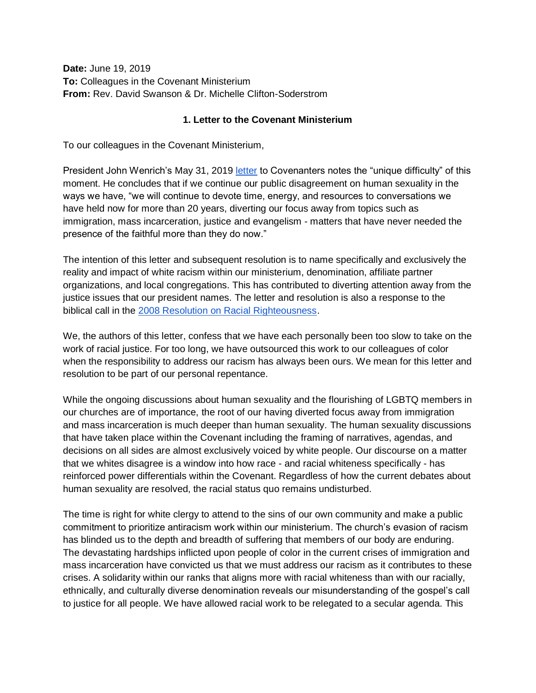**Date:** June 19, 2019 **To:** Colleagues in the Covenant Ministerium **From:** Rev. David Swanson & Dr. Michelle Clifton-Soderstrom

## **1. Letter to the Covenant Ministerium**

To our colleagues in the Covenant Ministerium,

President John Wenrich's May 31, 2019 [letter](https://covchurch.org/news/letter-from-ecc-president-john-wenrich-regarding-first-covenant-church-of-minneapolis/) to Covenanters notes the "unique difficulty" of this moment. He concludes that if we continue our public disagreement on human sexuality in the ways we have, "we will continue to devote time, energy, and resources to conversations we have held now for more than 20 years, diverting our focus away from topics such as immigration, mass incarceration, justice and evangelism - matters that have never needed the presence of the faithful more than they do now."

The intention of this letter and subsequent resolution is to name specifically and exclusively the reality and impact of white racism within our ministerium, denomination, affiliate partner organizations, and local congregations. This has contributed to diverting attention away from the justice issues that our president names. The letter and resolution is also a response to the biblical call in the [2008 Resolution on Racial Righteousness.](https://covchurch.org/resolutions/2008-racial-righteousness/)

We, the authors of this letter, confess that we have each personally been too slow to take on the work of racial justice. For too long, we have outsourced this work to our colleagues of color when the responsibility to address our racism has always been ours. We mean for this letter and resolution to be part of our personal repentance.

While the ongoing discussions about human sexuality and the flourishing of LGBTQ members in our churches are of importance, the root of our having diverted focus away from immigration and mass incarceration is much deeper than human sexuality. The human sexuality discussions that have taken place within the Covenant including the framing of narratives, agendas, and decisions on all sides are almost exclusively voiced by white people. Our discourse on a matter that we whites disagree is a window into how race - and racial whiteness specifically - has reinforced power differentials within the Covenant. Regardless of how the current debates about human sexuality are resolved, the racial status quo remains undisturbed.

The time is right for white clergy to attend to the sins of our own community and make a public commitment to prioritize antiracism work within our ministerium. The church's evasion of racism has blinded us to the depth and breadth of suffering that members of our body are enduring. The devastating hardships inflicted upon people of color in the current crises of immigration and mass incarceration have convicted us that we must address our racism as it contributes to these crises. A solidarity within our ranks that aligns more with racial whiteness than with our racially, ethnically, and culturally diverse denomination reveals our misunderstanding of the gospel's call to justice for all people. We have allowed racial work to be relegated to a secular agenda. This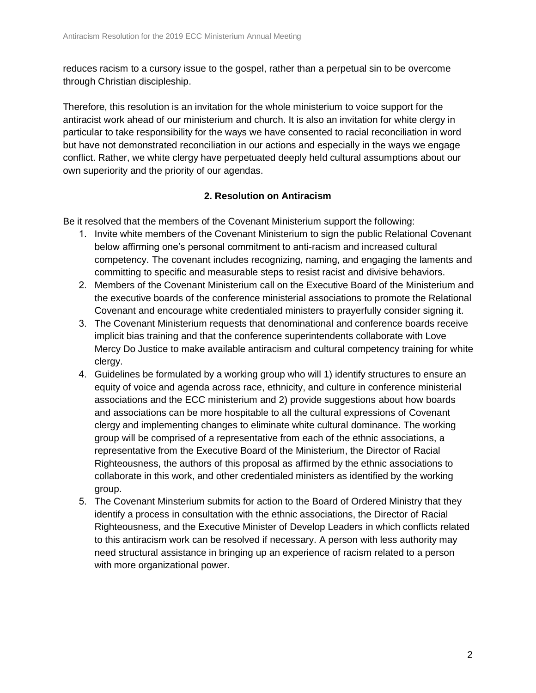reduces racism to a cursory issue to the gospel, rather than a perpetual sin to be overcome through Christian discipleship.

Therefore, this resolution is an invitation for the whole ministerium to voice support for the antiracist work ahead of our ministerium and church. It is also an invitation for white clergy in particular to take responsibility for the ways we have consented to racial reconciliation in word but have not demonstrated reconciliation in our actions and especially in the ways we engage conflict. Rather, we white clergy have perpetuated deeply held cultural assumptions about our own superiority and the priority of our agendas.

## **2. Resolution on Antiracism**

Be it resolved that the members of the Covenant Ministerium support the following:

- 1. Invite white members of the Covenant Ministerium to sign the public Relational Covenant below affirming one's personal commitment to anti-racism and increased cultural competency. The covenant includes recognizing, naming, and engaging the laments and committing to specific and measurable steps to resist racist and divisive behaviors.
- 2. Members of the Covenant Ministerium call on the Executive Board of the Ministerium and the executive boards of the conference ministerial associations to promote the Relational Covenant and encourage white credentialed ministers to prayerfully consider signing it.
- 3. The Covenant Ministerium requests that denominational and conference boards receive implicit bias training and that the conference superintendents collaborate with Love Mercy Do Justice to make available antiracism and cultural competency training for white clergy.
- 4. Guidelines be formulated by a working group who will 1) identify structures to ensure an equity of voice and agenda across race, ethnicity, and culture in conference ministerial associations and the ECC ministerium and 2) provide suggestions about how boards and associations can be more hospitable to all the cultural expressions of Covenant clergy and implementing changes to eliminate white cultural dominance. The working group will be comprised of a representative from each of the ethnic associations, a representative from the Executive Board of the Ministerium, the Director of Racial Righteousness, the authors of this proposal as affirmed by the ethnic associations to collaborate in this work, and other credentialed ministers as identified by the working group.
- 5. The Covenant Minsterium submits for action to the Board of Ordered Ministry that they identify a process in consultation with the ethnic associations, the Director of Racial Righteousness, and the Executive Minister of Develop Leaders in which conflicts related to this antiracism work can be resolved if necessary. A person with less authority may need structural assistance in bringing up an experience of racism related to a person with more organizational power.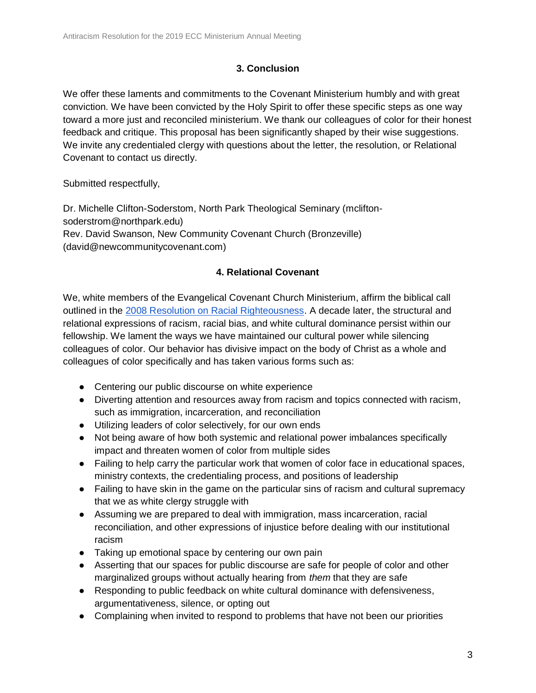## **3. Conclusion**

We offer these laments and commitments to the Covenant Ministerium humbly and with great conviction. We have been convicted by the Holy Spirit to offer these specific steps as one way toward a more just and reconciled ministerium. We thank our colleagues of color for their honest feedback and critique. This proposal has been significantly shaped by their wise suggestions. We invite any credentialed clergy with questions about the letter, the resolution, or Relational Covenant to contact us directly.

Submitted respectfully,

Dr. Michelle Clifton-Soderstom, North Park Theological Seminary (mcliftonsoderstrom@northpark.edu) Rev. David Swanson, New Community Covenant Church (Bronzeville) (david@newcommunitycovenant.com)

## **4. Relational Covenant**

We, white members of the Evangelical Covenant Church Ministerium, affirm the biblical call outlined in the [2008 Resolution on Racial Righteousness.](https://covchurch.org/resolutions/2008-racial-righteousness/) A decade later, the structural and relational expressions of racism, racial bias, and white cultural dominance persist within our fellowship. We lament the ways we have maintained our cultural power while silencing colleagues of color. Our behavior has divisive impact on the body of Christ as a whole and colleagues of color specifically and has taken various forms such as:

- Centering our public discourse on white experience
- Diverting attention and resources away from racism and topics connected with racism, such as immigration, incarceration, and reconciliation
- Utilizing leaders of color selectively, for our own ends
- Not being aware of how both systemic and relational power imbalances specifically impact and threaten women of color from multiple sides
- Failing to help carry the particular work that women of color face in educational spaces, ministry contexts, the credentialing process, and positions of leadership
- Failing to have skin in the game on the particular sins of racism and cultural supremacy that we as white clergy struggle with
- Assuming we are prepared to deal with immigration, mass incarceration, racial reconciliation, and other expressions of injustice before dealing with our institutional racism
- Taking up emotional space by centering our own pain
- Asserting that our spaces for public discourse are safe for people of color and other marginalized groups without actually hearing from *them* that they are safe
- Responding to public feedback on white cultural dominance with defensiveness, argumentativeness, silence, or opting out
- Complaining when invited to respond to problems that have not been our priorities